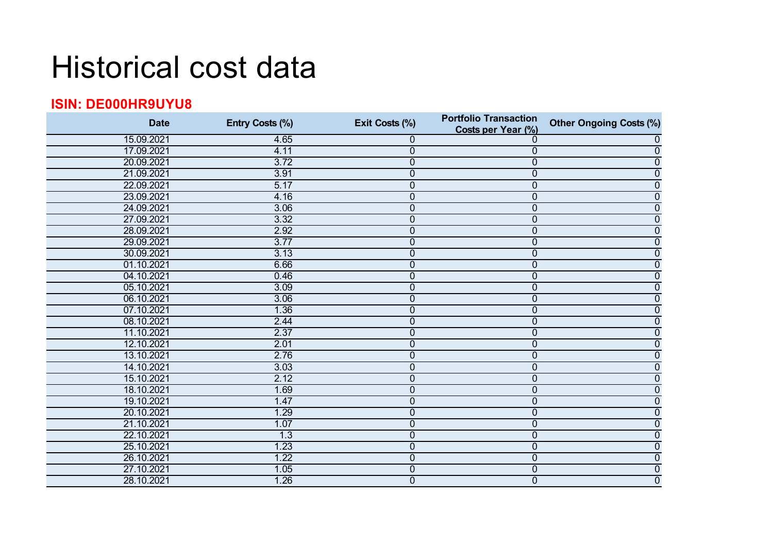## Historical cost data

## **ISIN: DE000HR9UYU8**

| <b>Date</b> | Entry Costs (%) | Exit Costs (%)   | <b>Portfolio Transaction</b><br>Costs per Year (%) | <b>Other Ongoing Costs (%)</b> |
|-------------|-----------------|------------------|----------------------------------------------------|--------------------------------|
| 15.09.2021  | 4.65            | 0                | 0                                                  | $\mathbf 0$                    |
| 17.09.2021  | 4.11            | $\mathbf 0$      | $\overline{0}$                                     | $\mathbf 0$                    |
| 20.09.2021  | 3.72            | $\overline{0}$   | $\overline{0}$                                     | $\mathbf 0$                    |
| 21.09.2021  | 3.91            | $\pmb{0}$        | 0                                                  | $\boldsymbol{0}$               |
| 22.09.2021  | 5.17            | $\overline{0}$   | 0                                                  | $\overline{0}$                 |
| 23.09.2021  | 4.16            | $\overline{0}$   | $\overline{0}$                                     | $\overline{0}$                 |
| 24.09.2021  | 3.06            | $\boldsymbol{0}$ | 0                                                  | $\boldsymbol{0}$               |
| 27.09.2021  | 3.32            | $\boldsymbol{0}$ | $\overline{0}$                                     | $\boldsymbol{0}$               |
| 28.09.2021  | 2.92            | $\overline{0}$   | 0                                                  | $\mathbf 0$                    |
| 29.09.2021  | 3.77            | $\overline{0}$   | 0                                                  | 0                              |
| 30.09.2021  | 3.13            | $\boldsymbol{0}$ | 0                                                  | $\mathbf 0$                    |
| 01.10.2021  | 6.66            | $\overline{0}$   | $\overline{0}$                                     | $\overline{0}$                 |
| 04.10.2021  | 0.46            | $\overline{0}$   | $\overline{0}$                                     | 0                              |
| 05.10.2021  | 3.09            | $\overline{0}$   | 0                                                  | $\mathbf 0$                    |
| 06.10.2021  | 3.06            | $\overline{0}$   | 0                                                  | $\overline{0}$                 |
| 07.10.2021  | 1.36            | $\overline{0}$   | 0                                                  | $\overline{0}$                 |
| 08.10.2021  | 2.44            | $\overline{0}$   | $\overline{0}$                                     | $\mathbf 0$                    |
| 11.10.2021  | 2.37            | $\overline{0}$   | 0                                                  | $\boldsymbol{0}$               |
| 12.10.2021  | 2.01            | $\overline{0}$   | 0                                                  | $\overline{0}$                 |
| 13.10.2021  | 2.76            | $\overline{0}$   | $\overline{0}$                                     | $\overline{0}$                 |
| 14.10.2021  | 3.03            | $\overline{0}$   | $\overline{0}$                                     | $\mathbf 0$                    |
| 15.10.2021  | 2.12            | $\overline{0}$   | 0                                                  | $\boldsymbol{0}$               |
| 18.10.2021  | 1.69            | $\mathbf 0$      | 0                                                  | $\mathbf 0$                    |
| 19.10.2021  | 1.47            | $\overline{0}$   | $\overline{0}$                                     | $\mathbf 0$                    |
| 20.10.2021  | 1.29            | $\overline{0}$   | 0                                                  | $\boldsymbol{0}$               |
| 21.10.2021  | 1.07            | $\overline{0}$   | $\overline{0}$                                     | $\mathbf 0$                    |
| 22.10.2021  | 1.3             | $\overline{0}$   | $\overline{0}$                                     | $\mathbf 0$                    |
| 25.10.2021  | 1.23            | $\overline{0}$   | $\overline{0}$                                     | $\overline{0}$                 |
| 26.10.2021  | 1.22            | $\overline{0}$   | 0                                                  | $\boldsymbol{0}$               |
| 27.10.2021  | 1.05            | $\mathbf 0$      | 0                                                  | $\overline{0}$                 |
| 28.10.2021  | 1.26            | $\overline{0}$   | $\overline{0}$                                     | $\overline{0}$                 |